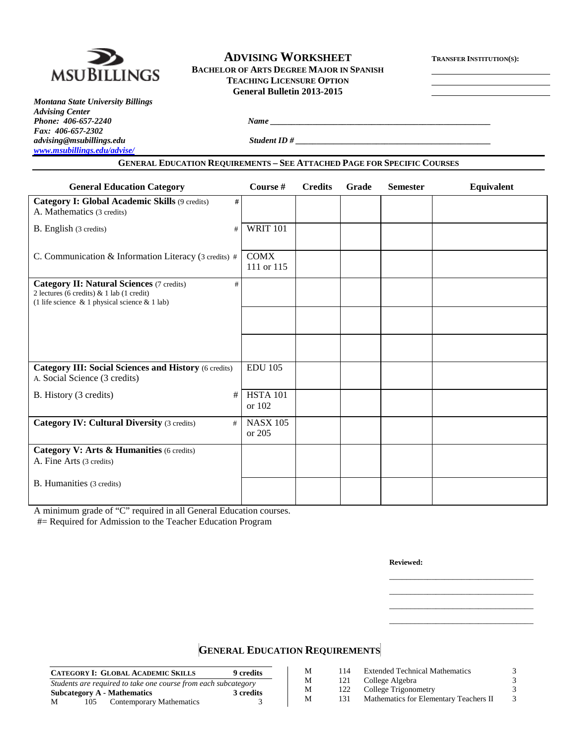

# **ADVISING WORKSHEET TRANSFER INSTITUTION(S):**

**BACHELOR OF ARTS DEGREE MAJOR IN SPANISH TEACHING LICENSURE OPTION General Bulletin 2013-2015**

*Montana State University Billings Advising Center Phone: 406-657-2240 Name \_\_\_\_\_\_\_\_\_\_\_\_\_\_\_\_\_\_\_\_\_\_\_\_\_\_\_\_\_\_\_\_\_\_\_\_\_\_\_\_\_\_\_\_\_\_\_\_\_\_\_\_ Fax: 406-657-2302 [www.msubillings.edu/advise/](http://www.msubillings.edu/advise/)*

*advising@msubillings.edu Student ID # \_\_\_\_\_\_\_\_\_\_\_\_\_\_\_\_\_\_\_\_\_\_\_\_\_\_\_\_\_\_\_\_\_\_\_\_\_\_\_\_\_\_\_\_\_\_*

# **GENERAL EDUCATION REQUIREMENTS – SEE ATTACHED PAGE FOR SPECIFIC COURSES**

| <b>General Education Category</b>                                                                                                                           | Course #                  | <b>Credits</b> | Grade | <b>Semester</b> | Equivalent |
|-------------------------------------------------------------------------------------------------------------------------------------------------------------|---------------------------|----------------|-------|-----------------|------------|
| Category I: Global Academic Skills (9 credits)<br>#<br>A. Mathematics (3 credits)                                                                           |                           |                |       |                 |            |
| B. English (3 credits)<br>#                                                                                                                                 | <b>WRIT 101</b>           |                |       |                 |            |
| C. Communication & Information Literacy (3 credits) #                                                                                                       | <b>COMX</b><br>111 or 115 |                |       |                 |            |
| <b>Category II: Natural Sciences (7 credits)</b><br>#<br>2 lectures (6 credits) $& 1$ lab (1 credit)<br>(1 life science $\&$ 1 physical science $\&$ 1 lab) |                           |                |       |                 |            |
|                                                                                                                                                             |                           |                |       |                 |            |
|                                                                                                                                                             |                           |                |       |                 |            |
| <b>Category III: Social Sciences and History (6 credits)</b><br>A. Social Science (3 credits)                                                               | <b>EDU 105</b>            |                |       |                 |            |
| B. History (3 credits)<br>#                                                                                                                                 | <b>HSTA 101</b><br>or 102 |                |       |                 |            |
| <b>Category IV: Cultural Diversity (3 credits)</b><br>#                                                                                                     | <b>NASX 105</b><br>or 205 |                |       |                 |            |
| Category V: Arts & Humanities (6 credits)<br>A. Fine Arts (3 credits)                                                                                       |                           |                |       |                 |            |
| B. Humanities (3 credits)                                                                                                                                   |                           |                |       |                 |            |

A minimum grade of "C" required in all General Education courses.

#= Required for Admission to the Teacher Education Program

**Reviewed:**

\_\_\_\_\_\_\_\_\_\_\_\_\_\_\_\_\_\_\_\_\_\_\_\_\_\_\_\_\_\_\_\_\_\_ \_\_\_\_\_\_\_\_\_\_\_\_\_\_\_\_\_\_\_\_\_\_\_\_\_\_\_\_\_\_\_\_\_\_ \_\_\_\_\_\_\_\_\_\_\_\_\_\_\_\_\_\_\_\_\_\_\_\_\_\_\_\_\_\_\_\_\_\_ \_\_\_\_\_\_\_\_\_\_\_\_\_\_\_\_\_\_\_\_\_\_\_\_\_\_\_\_\_\_\_\_\_\_

# **GENERAL EDUCATION REQUIREMENTS**

|   |     | <b>CATEGORY I: GLOBAL ACADEMIC SKILLS</b>                      | 9 credits | М | 114 | <b>Extended Technical Mathematics</b>  |  |
|---|-----|----------------------------------------------------------------|-----------|---|-----|----------------------------------------|--|
|   |     | Students are required to take one course from each subcategory |           | М | 121 | College Algebra                        |  |
|   |     | <b>Subcategory A - Mathematics</b>                             | 3 credits | М | 122 | College Trigonometry                   |  |
| M | 105 | Contemporary Mathematics                                       |           | М |     | Mathematics for Elementary Teachers II |  |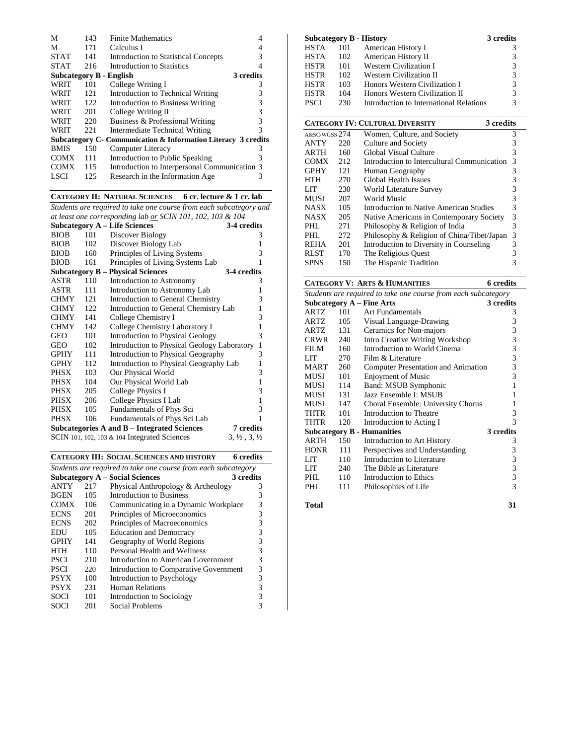| М                       | 143 | <b>Finite Mathematics</b>                                                |   |
|-------------------------|-----|--------------------------------------------------------------------------|---|
| М                       | 171 | Calculus I                                                               |   |
| <b>STAT</b>             | 141 | <b>Introduction to Statistical Concepts</b>                              | 3 |
| <b>STAT</b>             | 216 | Introduction to Statistics                                               |   |
| Subcategory B - English |     | 3 credits                                                                |   |
| WRIT                    | 101 | College Writing I                                                        | 3 |
| WRIT                    | 121 | Introduction to Technical Writing                                        | 3 |
| WRIT                    | 122 | Introduction to Business Writing                                         | 3 |
| WRIT                    | 201 | College Writing II                                                       | 3 |
| WRIT                    | 220 | Business & Professional Writing                                          | 3 |
| WRIT                    | 221 | Intermediate Technical Writing                                           | 3 |
|                         |     | <b>Subcategory C- Communication &amp; Information Literacy 3 credits</b> |   |
| <b>BMIS</b>             | 150 | Computer Literacy                                                        | 3 |
| <b>COMX</b>             | 111 | Introduction to Public Speaking                                          | 3 |
| <b>COMX</b>             | 115 | Introduction to Interpersonal Communication 3                            |   |
| LSCI                    | 125 | Research in the Information Age                                          | 3 |
|                         |     |                                                                          |   |

# **CATEGORY II: NATURAL SCIENCES 6 cr. lecture & 1 cr. lab**

*Students are required to take one course from each subcategory and* 

| at least one corresponding lab or SCIN 101, 102, 103 & 104 |                                                          |                                                |                                  |  |  |  |  |
|------------------------------------------------------------|----------------------------------------------------------|------------------------------------------------|----------------------------------|--|--|--|--|
|                                                            |                                                          | <b>Subcategory A – Life Sciences</b>           | 3-4 credits                      |  |  |  |  |
| <b>BIOB</b>                                                | 101                                                      | Discover Biology                               | 3                                |  |  |  |  |
| <b>BIOB</b>                                                | 102                                                      | Discover Biology Lab                           | 1                                |  |  |  |  |
| <b>BIOB</b>                                                | 160                                                      | Principles of Living Systems                   | 3                                |  |  |  |  |
| <b>BIOB</b>                                                | 161                                                      | Principles of Living Systems Lab               | 1                                |  |  |  |  |
|                                                            |                                                          | <b>Subcategory B – Physical Sciences</b>       | 3-4 credits                      |  |  |  |  |
| ASTR                                                       | 110                                                      | Introduction to Astronomy                      | 3                                |  |  |  |  |
| ASTR                                                       | 111                                                      | Introduction to Astronomy Lab                  | 1                                |  |  |  |  |
| <b>CHMY</b>                                                | 121                                                      | Introduction to General Chemistry              | 3                                |  |  |  |  |
| <b>CHMY</b>                                                | 122                                                      | Introduction to General Chemistry Lab          | 1                                |  |  |  |  |
| <b>CHMY</b>                                                | 141                                                      | College Chemistry I                            | 3                                |  |  |  |  |
| <b>CHMY</b>                                                | 142                                                      | College Chemistry Laboratory I                 | 1                                |  |  |  |  |
| <b>GEO</b>                                                 | 101                                                      | <b>Introduction to Physical Geology</b>        | 3                                |  |  |  |  |
| <b>GEO</b>                                                 | 102                                                      | Introduction to Physical Geology Laboratory    | 1                                |  |  |  |  |
| <b>GPHY</b>                                                | 111                                                      | Introduction to Physical Geography             | 3                                |  |  |  |  |
| <b>GPHY</b>                                                | 112                                                      | Introduction to Physical Geography Lab         | 1                                |  |  |  |  |
| PHSX                                                       | 103                                                      | Our Physical World                             | 3                                |  |  |  |  |
| PHSX                                                       | 104                                                      | Our Physical World Lab                         | 1                                |  |  |  |  |
| PHSX                                                       | 205                                                      | College Physics I                              | 3                                |  |  |  |  |
| PHSX                                                       | 206                                                      | College Physics I Lab                          | 1                                |  |  |  |  |
| PHSX                                                       | 105                                                      | Fundamentals of Phys Sci                       | 3                                |  |  |  |  |
| <b>PHSX</b>                                                | 106                                                      | Fundamentals of Phys Sci Lab                   |                                  |  |  |  |  |
|                                                            | 7 credits<br>Subcategories A and B – Integrated Sciences |                                                |                                  |  |  |  |  |
|                                                            |                                                          | SCIN 101, 102, 103 $&$ 104 Integrated Sciences | $3, \frac{1}{2}, 3, \frac{1}{2}$ |  |  |  |  |

|                                                                |     | <b>CATEGORY III: SOCIAL SCIENCES AND HISTORY</b> | 6 credits |  |  |  |  |
|----------------------------------------------------------------|-----|--------------------------------------------------|-----------|--|--|--|--|
| Students are required to take one course from each subcategory |     |                                                  |           |  |  |  |  |
|                                                                |     | <b>Subcategory A – Social Sciences</b>           | 3 credits |  |  |  |  |
| ANTY                                                           | 217 | Physical Anthropology & Archeology               | 3         |  |  |  |  |
| <b>BGEN</b>                                                    | 105 | Introduction to Business                         | 3         |  |  |  |  |
| <b>COMX</b>                                                    | 106 | Communicating in a Dynamic Workplace             | 3         |  |  |  |  |
| <b>ECNS</b>                                                    | 201 | Principles of Microeconomics                     | 3         |  |  |  |  |
| <b>ECNS</b>                                                    | 202 | Principles of Macroeconomics                     | 3         |  |  |  |  |
| EDU                                                            | 105 | <b>Education and Democracy</b>                   | 3         |  |  |  |  |
| <b>GPHY</b>                                                    | 141 | Geography of World Regions                       | 3         |  |  |  |  |
| HTH                                                            | 110 | Personal Health and Wellness                     | 3         |  |  |  |  |
| <b>PSCI</b>                                                    | 210 | Introduction to American Government              | 3         |  |  |  |  |
| PSCI                                                           | 220 | Introduction to Comparative Government           | 3         |  |  |  |  |
| <b>PSYX</b>                                                    | 100 | Introduction to Psychology                       | 3         |  |  |  |  |
| <b>PSYX</b>                                                    | 231 | <b>Human Relations</b>                           | 3         |  |  |  |  |
| SOCI                                                           | 101 | Introduction to Sociology                        | 3         |  |  |  |  |
| SOCI                                                           | 201 | <b>Social Problems</b>                           | 3         |  |  |  |  |

| Subcategory B - History                             |     |                                             | 3 credits |  |  |  |
|-----------------------------------------------------|-----|---------------------------------------------|-----------|--|--|--|
| <b>HSTA</b>                                         | 101 | American History I                          | 3         |  |  |  |
| <b>HSTA</b>                                         | 102 | American History II                         | 3         |  |  |  |
| <b>HSTR</b>                                         | 101 | <b>Western Civilization I</b>               | 3         |  |  |  |
| <b>HSTR</b>                                         | 102 | <b>Western Civilization II</b>              | 3         |  |  |  |
| <b>HSTR</b>                                         | 103 | Honors Western Civilization I               | 3         |  |  |  |
| HSTR                                                | 104 | Honors Western Civilization II              | 3         |  |  |  |
| <b>PSCI</b>                                         | 230 | Introduction to International Relations     | 3         |  |  |  |
|                                                     |     |                                             |           |  |  |  |
| <b>CATEGORY IV: CULTURAL DIVERSITY</b><br>3 credits |     |                                             |           |  |  |  |
| A&SC/WGSS $274$                                     |     | Women, Culture, and Society                 | 3         |  |  |  |
| ANTY                                                | 220 | Culture and Society                         | 3         |  |  |  |
| ARTH                                                | 160 | Global Visual Culture                       | 3         |  |  |  |
| COMX                                                | 212 | Introduction to Intercultural Communication | 3         |  |  |  |
| <b>GPHY</b>                                         | 121 | Human Geography                             | 3         |  |  |  |
| HTH                                                 | 270 | <b>Global Health Issues</b>                 | 3         |  |  |  |
| LIT                                                 | 230 | World Literature Survey                     | 3         |  |  |  |
| MUSI                                                | 207 | World Music                                 | 3         |  |  |  |
| NASX                                                | 105 | Introduction to Native American Studies     | 3         |  |  |  |
| <b>NASX</b>                                         | 205 | Native Americans in Contemporary Society    | 3         |  |  |  |
| PHL                                                 | 271 | Philosophy & Religion of India              | 3         |  |  |  |
| PHL                                                 | 272 | Philosophy & Religion of China/Tibet/Japan  | 3         |  |  |  |
| REHA                                                | 201 | Introduction to Diversity in Counseling     | 3         |  |  |  |
| RLST                                                | 170 | The Religious Quest                         | 3         |  |  |  |
| SPNS                                                | 150 | The Hispanic Tradition                      | 3         |  |  |  |

|                                                                |     | <b>CATEGORY V: ARTS &amp; HUMANITIES</b> | <b>6</b> credits |  |  |  |
|----------------------------------------------------------------|-----|------------------------------------------|------------------|--|--|--|
| Students are required to take one course from each subcategory |     |                                          |                  |  |  |  |
|                                                                |     | <b>Subcategory A - Fine Arts</b>         | 3 credits        |  |  |  |
| ARTZ                                                           | 101 | Art Fundamentals                         | 3                |  |  |  |
| ARTZ                                                           | 105 | Visual Language-Drawing                  | 3                |  |  |  |
| ARTZ                                                           | 131 | Ceramics for Non-majors                  | 3                |  |  |  |
| CRWR                                                           | 240 | <b>Intro Creative Writing Workshop</b>   | 3                |  |  |  |
| FILM                                                           | 160 | Introduction to World Cinema             | $\overline{3}$   |  |  |  |
| LIT                                                            | 270 | Film & Literature                        | 3                |  |  |  |
| MART                                                           | 260 | Computer Presentation and Animation      | 3                |  |  |  |
| MUSI                                                           | 101 | <b>Enjoyment of Music</b>                | 3                |  |  |  |
| MUSI                                                           | 114 | Band: MSUB Symphonic                     | 1                |  |  |  |
| MUSI                                                           | 131 | Jazz Ensemble I: MSUB                    | 1                |  |  |  |
| MUSI                                                           | 147 | Choral Ensemble: University Chorus       | 1                |  |  |  |
| THTR                                                           | 101 | Introduction to Theatre                  | 3                |  |  |  |
| THTR                                                           | 120 | Introduction to Acting I                 | 3                |  |  |  |
|                                                                |     | <b>Subcategory B - Humanities</b>        | 3 credits        |  |  |  |
| ARTH                                                           | 150 | Introduction to Art History              | 3                |  |  |  |
| <b>HONR</b>                                                    | 111 | Perspectives and Understanding           | 3                |  |  |  |
| <b>LIT</b>                                                     | 110 | Introduction to Literature               | 3                |  |  |  |
| LIT                                                            | 240 | The Bible as Literature                  | 3                |  |  |  |
| PHL.                                                           | 110 | Introduction to Ethics                   | 3                |  |  |  |
| PHI.                                                           | 111 | Philosophies of Life                     | 3                |  |  |  |

**Total 31**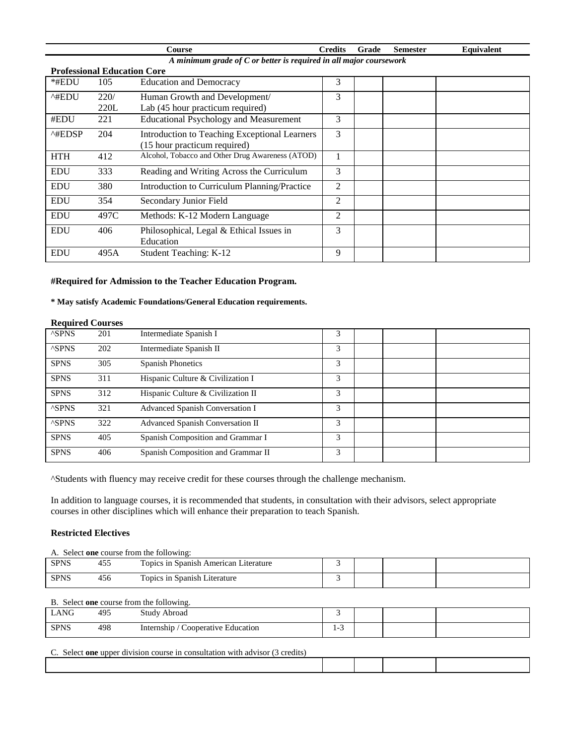|                                                                      |                                    | <b>Course</b>                                    | <b>Credits</b> | Grade | <b>Semester</b> | Equivalent |  |
|----------------------------------------------------------------------|------------------------------------|--------------------------------------------------|----------------|-------|-----------------|------------|--|
| A minimum grade of $C$ or better is required in all major coursework |                                    |                                                  |                |       |                 |            |  |
|                                                                      | <b>Professional Education Core</b> |                                                  |                |       |                 |            |  |
| $*$ #EDU                                                             | 105                                | <b>Education and Democracy</b>                   | 3              |       |                 |            |  |
| ^#EDU                                                                | 220/                               | Human Growth and Development/                    | 3              |       |                 |            |  |
|                                                                      | 220L                               | Lab (45 hour practicum required)                 |                |       |                 |            |  |
| #EDU                                                                 | 221                                | <b>Educational Psychology and Measurement</b>    | 3              |       |                 |            |  |
| $^{\wedge\text{HEDSP}}$                                              | 204                                | Introduction to Teaching Exceptional Learners    | 3              |       |                 |            |  |
|                                                                      |                                    | (15 hour practicum required)                     |                |       |                 |            |  |
| <b>HTH</b>                                                           | 412                                | Alcohol, Tobacco and Other Drug Awareness (ATOD) |                |       |                 |            |  |
| <b>EDU</b>                                                           | 333                                | Reading and Writing Across the Curriculum        | 3              |       |                 |            |  |
| <b>EDU</b>                                                           | 380                                | Introduction to Curriculum Planning/Practice     | 2              |       |                 |            |  |
| <b>EDU</b>                                                           | 354                                | Secondary Junior Field                           | 2              |       |                 |            |  |
| <b>EDU</b>                                                           | 497C                               | Methods: K-12 Modern Language                    | 2              |       |                 |            |  |
| <b>EDU</b>                                                           | 406                                | Philosophical, Legal & Ethical Issues in         | 3              |       |                 |            |  |
|                                                                      |                                    | Education                                        |                |       |                 |            |  |
| <b>EDU</b>                                                           | 495A                               | <b>Student Teaching: K-12</b>                    | 9              |       |                 |            |  |

# **#Required for Admission to the Teacher Education Program.**

# **\* May satisfy Academic Foundations/General Education requirements.**

### **Required Courses**

| ---------    |     |                                    |   |  |  |
|--------------|-----|------------------------------------|---|--|--|
| <b>ASPNS</b> | 201 | Intermediate Spanish I             | 3 |  |  |
| <b>ASPNS</b> | 202 | Intermediate Spanish II            | 3 |  |  |
| <b>SPNS</b>  | 305 | <b>Spanish Phonetics</b>           | 3 |  |  |
| <b>SPNS</b>  | 311 | Hispanic Culture & Civilization I  | 3 |  |  |
| <b>SPNS</b>  | 312 | Hispanic Culture & Civilization II | 3 |  |  |
| <b>ASPNS</b> | 321 | Advanced Spanish Conversation I    | 3 |  |  |
| <b>ASPNS</b> | 322 | Advanced Spanish Conversation II   | 3 |  |  |
| <b>SPNS</b>  | 405 | Spanish Composition and Grammar I  | 3 |  |  |
| <b>SPNS</b>  | 406 | Spanish Composition and Grammar II | 3 |  |  |

^Students with fluency may receive credit for these courses through the challenge mechanism.

In addition to language courses, it is recommended that students, in consultation with their advisors, select appropriate courses in other disciplines which will enhance their preparation to teach Spanish.

# **Restricted Electives**

| A. Select one course from the following: |     |                                       |  |  |  |  |  |
|------------------------------------------|-----|---------------------------------------|--|--|--|--|--|
| <b>SPNS</b>                              | 455 | Topics in Spanish American Literature |  |  |  |  |  |
| <b>SPNS</b>                              | 456 | Topics in Spanish Literature          |  |  |  |  |  |

# B. Select **one** course from the following.

| LANG        | 495 | Abroad<br>study<br>.                     |                          |  |  |
|-------------|-----|------------------------------------------|--------------------------|--|--|
| <b>SPNS</b> | 498 | Internship<br>Cooperative .<br>Education | $\overline{\phantom{0}}$ |  |  |

#### C. Select **one** upper division course in consultation with advisor (3 credits)

| seieci<br>one<br>1.721110<br>upper<br>сош<br>aivision<br>еопѕштаноп<br>71 S.C<br>WIII<br>70.IUS.<br>$\overline{a}$<br>LNE |  |  |  |  |  |  |  |
|---------------------------------------------------------------------------------------------------------------------------|--|--|--|--|--|--|--|
|                                                                                                                           |  |  |  |  |  |  |  |
|                                                                                                                           |  |  |  |  |  |  |  |
|                                                                                                                           |  |  |  |  |  |  |  |